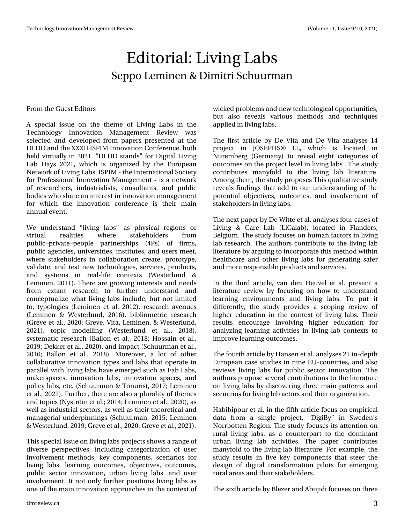## Hglwr uldo=Olylqj Odev Vhssr Chp lqhq ) Glp Iwul Vf kxxup dq

## I ur p wkhJ xhvwHglwr uv

D vshfldo lwxh rq wkh wkhp h ri Olylqj Odev lq wkh Whf kqr or j | Lqqr ydwlr q P dqdj hp hqw Uhylhz z dv vhohf whg dqg ghyhor shg iur p sdshuv suhvhqwhg dwwkh GOGG dqg wkh[ [ [ LLLVSLP Lqqr ydwlr q Fr qihuhqf h/ er wk khog yluwxdoo| lq 53541–GOGG wodqgv—ir u Glj lwdo Olylqj Ode Gd| v 5354/ z klf k lv r uj dql}hg e| wkh Hxur shdq Qhwz r un r i Olylqj Odev1LVSLP 0 wkh Lqwhuqdwlr qdoVr f lhw ir u Sur ihvvlr qdoLqqr ydwlr q P dqdj hp hqw0lv d qhwz r un r i uhvhduf khuv/ lqgxvwuldolvwv/ f r qvxowdqwv/ dqg sxeolf er glhv z kr vkduh dq lqwhuhvwlq lqqr ydwr q p dqdj hp hqw ir u z klf k wkh lqqr ydwlr q f r qihuhqf h lv wkhlu p dlq dqqxdohyhqw1

Z h xqghuwdqg – dylqj odev—dv sk| vlf do uhj lr qv ru yluwxdo uhdolwlhv z khuh vwdnhkr oghuv iur p sxedf™sulydwh™shrsoh sduwqhuvklsv +7Sv, ri ilup v/ sxedf dj hqf lhv/ xqlyhuvlwhv/ lqvwwxwhv/ dqg xvhuv p hhw/ z khuh wodnhkroghuv lq frooderudwirg fuhdwh/surwrw|sh/ yddgdwh/dqg whwqhz whf kqr or j lhv/ vhuylf hv/ sur gxf wv/ dqg v| whp v lq uhdo0olih frqwh{wv +Z hwhuoxqg ) Ohp lqhq/ 5344,1Wkhuh duh j ur z lqj lqwhuhvwv dqg qhhgv iur p h{ wdqw uhvhduf k wr ixuwkhu xqghuvwdqg dqg f r qf hswxdd}h z kdwdylqj odev lqf oxgh/ exwqr wdp lwhg  $w / w$ sr or j lhv +Chp lqhq hwdd 5345,/ uhvhduf k dyhqxhv +Ohp lqhq ) Z hvwhuoxqg/ 5349,/ eleolr p hwulf uhvhduf k +J uhyh hwdo1/ 5353>J uhyh/ Ylwd/ Ohp lqhq/ ) Z hvwhuoxqg/ 5354,/ wrslf p r ghoolqj  $+Z$  hwhuxqg hw dol/ 534;,/ v| whp dwf uhvhduf k +Edoor q hwdol/ 534; >Kr wdlg hwdol/ 534<>Ghnnhuhwdd/ 5353,/dqg lp sdf w+Vf kxxup dq hwdd/ 5349 > Edoor q hw do // 534;, 1 P r uhr yhu/d or w ri r wkhu frooder udwlyh lqqrydwir q w| shv dqg odev wkdwr shudwh lq sdudomoz lwk dylqj odev kdyh hp huj hg vxfk dv I de Odev/ p dnhuvsdf hv/ lqqr ydwlr q odev/ lqqr ydwlr q vsdf hv/ dqg sr of | odev/ hwf 1+Vf kxxup dq ) Wolgxulw 534: > Ohp lqhq hwdol 5354, 11 xuwkhu wkhuh duh dovr d soxudolw ri wkhp hv dqg wr slf v +Q| vwuùp hwdo1>5347>Ohp lqhq hwdo1/ 5353,/ dv z hoodv lqgxvwuldovhf wr uv/ dv z hoodv wkhlu wkhr uhwlf dodqg p dqdj huldoxqghuslqqlqj v +Vf kxxup dq/ 5348>Ohp lqhq ) Z hwhux qg/  $534 \ll 1$  uhyh hwdol/  $5353 \ll 1$  uhyh hwdol/  $5354,1$ 

Wilv vshfldolv vxhrq dylqj odev sur mlf ww vkrz v dudqjhri  $q$ lyhuvh shuvshf wlyhv/ lqf $\alpha$ glqj fdwhjrul}dwlrq ri xvhu lqyr oyhp hqw p hwkr gv/ nh| fr p sr qhqwv/ vf hqdulr v ir u olylqj odev/ ohduqlqj r xwf r p hv/ r emhf wlyhv/ r xwf r p hv/ sxedf vhf wr u lqqr ydwlr q/ xuedq dylqj odev/ dqg xvhu lqyr oyhp hqw1 Lwqr wr qo| ixuwkhusr vlwlr qv olylqj odev dv r qh r i wkh p dlq lqqr ydwlr q dssur df khv lq wkh f r qwh{ wr i z lf nhg sur eohp vdqg qhz whf kqr or j lf dorssr uwxqlwlhv/ exw dovr uhyhdov ydulr xv p hwkr gv dqg whf kqlt xhv dssolhg lq olylqj odev1

With iluw duw foh e| Gh Ylwd dqg Gh Ylwd dqdo vhv 47 surnhfw lq MRVHSKV± OO/ z klfk lv or f dwhg lq Qxuhp ehuj +J hup dq|, wr uhyhdo hljkw f dwhjrulhv ri r xwf r p hv r q wkh sur mhf wohyholq olylqj odev 1Wkh vwxg| f r qwulexwhv p dq| ir og wr wkh olylqj ode olwhudwxuh1 Dp rqj wkhp/wkhvwxg|sursrvhv Wklv txdolwdwlyhvwxg| uhyhdov ilqglqj v wkdwdgg wr r xuxqghuvwdqglqj r i wkh srwhqwldo remhfwlyhv/rxwfrphv/dqglqyroyhphqwri vwdnhkr oghuv lq olylqj odev1

Wh qh{ wsdshue| Gh Z lwh hwdoldqdd vhv ir xuf dvhv ri Olylqj ) Fduh Ode +OlFdode,/ or f dwhg lq I odqghuv/ Ehoj lxp 1 Wkh wxg | ir f x vhv r q k x p dq idf wr uv lq olylqj ode uhvhduf k1Wkh dxwkr uv f r qwulexwh wr wkh olylqj ode olwhudwxuhe| duj xlqj wr lqf r usr udwh wklvp hwkr g z lwklq khdowkf duh dqg r wkhu olylqj odev ir u j hqhudwlqj vdihu dqg p r uhuhvsr qvledhsur gxf wdqg vhuylf hv1

Lq wkh wklug duwlf oh/ ydq ghq Khxyhohwdo1suhvhqwd olwhudwxuh uhylhz e| ir f xvlqj r q kr z wr xqghuvwdqg ohduqlqj hqylur qp hqwv dqg olylqj odev1 Wr sxw lw gliihuhqwo| / wkh vwxg| sur ylghv d vf r slqj uhylhz r i klj khu hgxf dwlr q lq wkh f r qwh{ wr i olylqj odev1 Wkhlu uhvxowv hqfrxudjh lqyroylqj kljkhu hgxfdwlrq iru dqdo|}lqj ohduqlqj dfwlylwlhv lq olylqj ode frqwh{wv wr lp sur yhohduqlqj r xwf r p hv1

With ir xuwk duwlf ohe| Kdqvhq hwdo1dqdo| vhv 54 lq0ghswk Hxur shdq f dvh vwxglhv lq qlqh HX0f r xqwulhv/ dqg dovr uhylhz v olylqj odev ir u sxeolf vhfwr u lqqrydwlr q1 Wkh dxwkr uv sur sr vh vhyhudof r qwulexwlr qv wr wkh olwhudwxuh r q olylqj odev e| glvf r yhulqj wkuhh p dlq sdwhuqv dqg vf hqdulr v ir uolylqj ode df wr uvdqg wkhlur uj dql}dwlr q1

Kdelelsr xuhwdo1lq wkh iliwk duwlf oh ir f xv r q hp slulf do gdwd iur p d vlqj oh sur mhf w/ –Glj lE| —lq Vz hghq•v Qr uuer whq Uhj Irq1Wkh vwxg| ir f x vhv lwv dwhqwlrq rq uxudo olylqj odev/ dv d f r xqwhusduw wr wkh gr p lqdqw xuedq olylqj ode df wlylwlhv1 Wkh sdshu f r qwulexwhv p dq| ir og wr wkh olylqj ode olwhudwxuh1I r uh{dp soh/ wkh wxg| uhvxowv lq ilyh nh| frp srqhqwv wkdwwwhhu wkh ghvljq ri gljlwdo wudqvirup dwlrq slorwr iru hp hujlqj uxudoduhdvdqg wkhluvwdnhkr oghuv1

With vl{ wk duwlf oh e| Eoh}hudqg Dexmlgl ir f x vhv r q wkuhh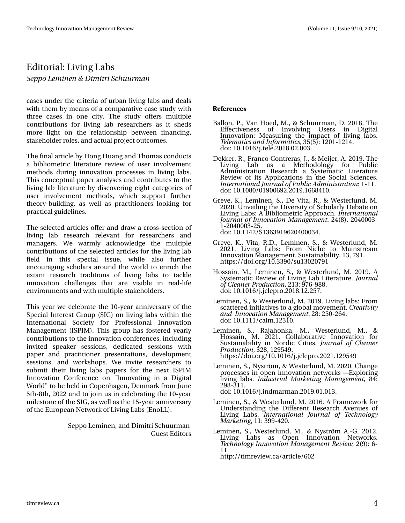## Hglwr uldo=Olylqi Odev

Tf qqp Mf n jof o ' Ejn jusj Tdi vvsn bo

f dvhv xqghu wkh fulwhuld ri xuedq dylqj odev dqg ghdov z lwk wkhp e| p hdqv r i d f r p sdudwlyh f dvh vwxg| z lwk wkuhh f dvhv lq r qh flw| 1 Wkh vwxg| riihuv p xowlsoh f r qwulexwlr qv ir u olylqj ode uhvhduf khuv dv lw vkhgv p r uh olj kw r q wkh uhodwlr qvkls ehwz hhq ilqdqf lqj / vwdnhkr oghuur ohv/ dqg df wxdosur mhf wr xwf r p hv1

With ilqdoduwlf oh e| Krqj Kxdqj dqg Witrp dv frqgxfw d eleolr p hwulf olyhudwxuh uhylhz ri xvhu lqyr oyhp hqw p hwkr gv gxulqj lqqr ydwlr q sur f hvvhv lq olylqj odev1 Wilv frqfhswsdosdshudqdo| vhv dqg frqwulexwhv wr wkh olylqj ode olwhudwxuh e| glvf r yhulqj hlj kwf dwhj r ulhv r i xvhu lqyr oyhp hqw p hwkr gv/ z klf k vxssr uw ixuwkhu wkhru| 0exloglqj/dv z hoo dv sudfwlwlrqhuv or rnlqj ir u sudf whf doj xlgholqhv1

With vhohf whg duwlf oh v riihudqg gudz d fur w0vhf wlrq ri dylqj ode uhvhdufk uhohydqw ir u uhvhdufkhuv dqg p dqdjhuv1 Z h z dup o| dfnqrz ohgjh wkh p xowlsoh f r qwulexwlr qv r i wkh vhohf whg duwlf ohv ir u wkh olylqj ode ilhog lq wklv vshf ldo lvvxh/ z kloh dovr ixuwkhu hqf r xudj lqj vf kr oduv dur xqg wkh z r uog wr hqulf k wkh h{wdqw uhvhdufk wudglwlrqv ri olylqj odev wr wdfnoh lqqr ydw'r q f kdoohqj hv wkdw duh ylvleoh lq uhdo0dih hqylur qp hqwv dqg z lwk p xowlsoh wwdnhkroghuv1

Wilv | hdu z h f hoheudwh wkh 430| hdu dqqlyhuvdu| r i wkh Vshf ldoLqwhuhvwJ ur xs +VLJ , r q olylqj odev z lwklq wkh Lqwhuqdwlr qdo Vr f lhw| ir u Sur ihvvlr qdo Lqqr ydwlr q P dqdj hp hqw+LVSLP, 1 Wklv jur xs kdv ir whuhg | hduo| f r qwilexwir qv wr wkh lqqr ydwir q f r qihuhqf hv/ lqf  $\alpha$ glqj lqylwhg vshdnhu vhvvlr qv/ ghglf dwhg vhvvlr qv z lwk sdshu dqg sudf what qhu suhvhqwdwlr qv/ ghyhor sp hqw vhvvlr qv/ dqg z r unvkr sv1 Z h lqylwh uhvhduf khuv wr vxep lw wkhlu dylqj odev sdshuv ir u wkh qh{ w LVSLP Lqqr ydwlr q Fr qihuhqf h r q %Lqqr ydwlqj lq d Glj lwdo Z r ung‰wr eh khog lq Fr shqkdj hq/ Ghqp dun iur p Mxqh  $8$ wk 0; wk/ 5355 dqg wr mlg xv lq f hoheudwlqj wkh 430 hdu p lohvwr qh r i wkh VLJ / dv z hoodv wkh 480| hdudqqlyhuvdu| r i wkh Hxur shdq Qhwz r unr i Olylqj Odev +Hqr OO,1

> Vhssr Ohp lqhq/ dqg Glp lwul Vf kxxup dq J xhvwHglw w

- $! , ) -$
- Edoor q/ S1/ Ydq Kr hg/ P 1/ ) Vf kxxup dq/ G1534; 1Wkh Hiihf wlyhqhvv r i Lqyr oylqj Xvhuv lq Glj lwdo Lqqr ydwlr q= P hdvxulqj wkh lp sdf w r i olylqj odev1 Uf mfn bujdt boe Jogpsn bujdt/ 68+8,=4534045471 gr l=43143492mMhdn 1534; 13513361
- Ghnnhu/ U1/ Ludqfr Frqwuhudv/ M1 ) P hlmhu/ D1534<1Wkh Olylqj Ode dv d Phwkrgrorj| iru Sxeolf Dgp lqlvwudwlr q Uhvhduf k d V| vwhp dwlf Olwhudwxuh Uhylhz r i lwv Dssolf dwlr qv lq wkh Vr f ldo Vf lhqf hv1 Jouf sobujpobmKpvsobmpgQvcmjdBen jojtusbujpo=40441 gr l=43143; 3234<339<51534<1499; 7431
- J uhyh/ N1/ Ohp lqhq/ V1/ Gh Ylwd/ U1/ ) Z hvwhuoxqg/ P 1 53531Xqyhlolqj wikh Glyhuvlw| ri Vfkroduo| Ghedwh rq Olylqj Odev=D Eleolr p hwulf Dssur dfk1Jouf sobujpobm KpvsobmpgJoopwbujpo N bobhfn fou157+; ,/ 53733360 4053733360581 gr l=43144752V4696<4<9537333671
- J uhyh/ N1/ Ylwd/ U1G1/ Ohp lqhq/ V1/ ) Z hvwhuoxqg/ P 1 53541 Olylqj Odev= I ur p Qlf kh wr P dlqvwuhdp Lqqr ydwlr q P dqdj hp hqw1Vxvwdlqdelolw| / 46/ : <41 kws v=22gr l1r uj 243166<32 vx 46353: <4
- Kr vvdlq/ P 1/ Ohp lqhq/ V1/ ) Z hvwhuoxqg/ P 1534<1 D V| vwhp dwlf Uhylhz r i Olylqj Ode Olwhudwxuh1Kpvsobm pgDmfbof sQspevdujpo/ 546=<: 90<; ; 1 gr I=43143492ml hdnsur 1534; 145158: 1
- Ohp lqhq/ V1/ ) Z hvwhuoxqg/ P 1534<1Olylqj odev=I ur p vf dwhuhg lqlwldwlyhv wr d j or edop r yhp hqw1Dsfbujwjuz boe Joopwbujpo N bobhfn fou 5; = 58305971 gr l=43144442f dlp 1456431
- Ohp  $lq$ hq/ V<sup>1</sup>/ Udmdkr qnd/ P  $1/2$  hvwhuoxqg/ P  $1/2$ Kr vvdlq/ P 1 53541 Fr ooder udwlyh Lqqr ydwlr q ir u Vxvwdlqdelolw| lq Qr uglf Flwlhv1 Kpvsobmpg Dmfbof s Qspevdujpo/ 65; / 45<87<1 kwsv=22gr l1r uj 243143492ml fidns ur 15354145<87<
- Ohp lqhq/ V1/ Q| vwuùp / ) Z hvwhuoxqg/ P 153531Fkdqj h sur f hwhv lq r shq lqqr ydwlr q qhwz r unv ™H{sorulqj olylqj odev1 JoevtusjbmN bsl fujoh N bobhfn fou/ ; 7= 5<; 06441 gr l=43143492mlqgp dup dq1534<13413461
- Ohp lqhq/ V1/ ) Z hvwhuoxqg/ P 153491D I udp hz r un ir u Xqghuvwdqglqj wkh GliihuhqwUhvhduf k Dyhqxhv r i Olylqj Odev1 Jouf sobujpobm Kpvsobm pg Ufdi opmphz N bsl fujoh/ 44=6<<07531
- Ohp lqhq/ V1/ Z hvwhuoxqg/ P 1/ ) Q| vwuùp D10J 153451 Odev dv Rshq Lqqrydwlrq Qhwzrunv1 Ufdi opmphz Joopwbujpo N bobhfn fouSf wif  $x / 5 + (-90$ 441

kws=22wlp uhylhz 1f d2duwlf dh2935